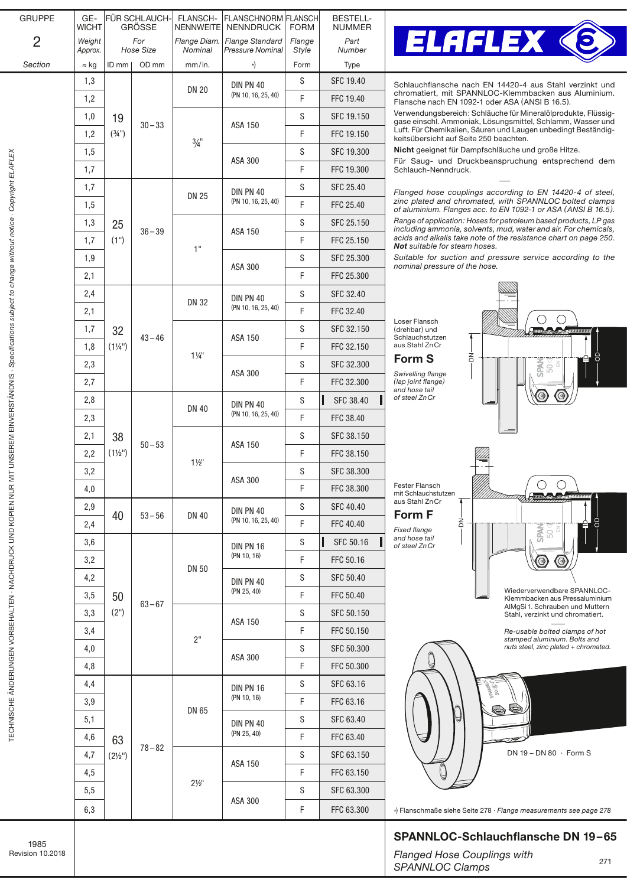| <b>GRUPPE</b>  | GE-<br><b>WICHT</b> | FÜR SCHLAUCH-<br><b>GRÖSSE</b>                         |           | FLANSCH-<br><b>NENNWEITE</b>   | <b>FLANSCHNORM FLANSCH</b><br><b>NENNDRUCK</b> | <b>FORM</b>     | <b>BESTELL-</b><br><b>NUMMER</b> |                           |
|----------------|---------------------|--------------------------------------------------------|-----------|--------------------------------|------------------------------------------------|-----------------|----------------------------------|---------------------------|
| $\overline{2}$ | Weight<br>Approx.   | For<br><b>Hose Size</b>                                |           | Flange Diam.<br><b>Nominal</b> | <b>Flange Standard</b><br>Pressure Nominal     | Flange<br>Style | Part<br>Number                   |                           |
| Section        | $\approx$ kg        | ID mm                                                  | OD mm     | mm/in.                         | *)                                             | Form            | Type                             |                           |
|                | 1,3                 | 19<br>(3/4)<br>25<br>(1")                              | $30 - 33$ | <b>DN 20</b>                   | <b>DIN PN 40</b><br>(PN 10, 16, 25, 40)        | S               | SFC 19.40                        | S                         |
|                | 1,2                 |                                                        |           |                                |                                                | F               | FFC 19.40                        | C<br>F                    |
|                | 1,0                 |                                                        |           | $\frac{3}{4}$ "                | <b>ASA 150</b>                                 | S               | SFC 19.150                       | V<br>g                    |
|                | 1,2                 |                                                        |           |                                |                                                | F               | FFC 19.150                       | L<br>k                    |
|                | 1,5                 |                                                        |           |                                | ASA 300                                        | S               | SFC 19.300                       | N                         |
|                | 1,7                 |                                                        |           |                                |                                                | $\mathsf F$     | FFC 19.300                       | F<br>S                    |
|                | 1,7                 |                                                        | $36 - 39$ | <b>DN 25</b>                   | DIN PN 40<br>(PN 10, 16, 25, 40)               | S               | SFC 25.40                        | F                         |
|                | 1,5                 |                                                        |           |                                |                                                | F               | FFC 25.40                        | Z<br>O                    |
|                | 1,3                 |                                                        |           | 1"                             | ASA 150                                        | S               | SFC 25.150                       | R<br>ir                   |
|                | 1,7                 |                                                        |           |                                |                                                | F               | FFC 25.150                       | a<br>٨                    |
|                | 1,9                 |                                                        |           |                                | <b>ASA 300</b>                                 | S               | SFC 25.300                       | S                         |
|                | 2,1                 |                                                        |           |                                |                                                | F               | FFC 25.300                       | n                         |
|                | 2,4                 | 32<br>$(1\frac{1}{4})$<br>38<br>$(1\frac{1}{2})$<br>40 | $43 - 46$ | <b>DN 32</b>                   | <b>DIN PN 40</b><br>(PN 10, 16, 25, 40)        | S               | SFC 32.40                        |                           |
|                | 2,1                 |                                                        |           |                                |                                                | F               | FFC 32.40                        |                           |
|                | 1,7                 |                                                        |           | $1\frac{1}{4}$                 | ASA 150                                        | S               | SFC 32.150                       | L<br>$(\mathfrak{c}$<br>S |
|                | 1,8                 |                                                        |           |                                |                                                | F               | FFC 32.150                       | a                         |
|                | 2,3                 |                                                        |           |                                | ASA 300                                        | S               | SFC 32.300                       | F                         |
|                | 2,7                 |                                                        |           |                                |                                                | F               | FFC 32.300                       | S<br>$\left($ l<br>a      |
|                | 2,8                 |                                                        | $50 - 53$ | <b>DN 40</b>                   | <b>DIN PN 40</b><br>(PN 10, 16, 25, 40)        | S               | ı<br>SFC 38.40                   | O                         |
|                | 2,3                 |                                                        |           |                                |                                                | F               | FFC 38.40                        |                           |
|                | 2,1                 |                                                        |           | $1\frac{1}{2}$                 | ASA 150                                        | S               | SFC 38.150                       |                           |
|                | 2,2                 |                                                        |           |                                |                                                | F               | FFC 38.150                       |                           |
|                | 3,2                 |                                                        |           |                                | ASA 300                                        | S               | SFC 38.300                       |                           |
|                | 4,0                 |                                                        |           |                                |                                                | F               | FFC 38.300                       | F<br>m                    |
|                | 2,9                 |                                                        | $53 - 56$ | <b>DN 40</b>                   | <b>DIN PN 40</b><br>(PN 10, 16, 25, 40)        | S               | <b>SFC 40.40</b>                 | a<br>F                    |
|                | 2,4                 |                                                        |           |                                |                                                | F               | FFC 40.40                        | F,                        |
|                | 3,6                 | 50<br>(2")                                             | $63 - 67$ | <b>DN 50</b>                   | <b>DIN PN 16</b><br>(PN 10, 16)                | S               | ı<br>SFC 50.16                   | a<br>0                    |
|                | 3,2                 |                                                        |           |                                |                                                | F               | FFC 50.16                        |                           |
|                | 4,2                 |                                                        |           |                                | DIN PN 40<br>(PN 25, 40)                       | S               | SFC 50.40                        |                           |
|                | 3,5                 |                                                        |           |                                |                                                | F               | FFC 50.40                        |                           |
|                | 3,3                 |                                                        |           | 2"                             | ASA 150                                        | S               | SFC 50.150                       |                           |
|                | 3,4                 |                                                        |           |                                |                                                | F               | FFC 50.150                       |                           |
|                | 4,0                 |                                                        |           |                                | ASA 300                                        | S               | SFC 50.300                       |                           |
|                | 4,8                 |                                                        |           |                                |                                                | F               | FFC 50.300                       |                           |
|                | 4,4                 | 63<br>$(2\frac{1}{2})$                                 | $78 - 82$ | DN 65                          | DIN PN 16<br>(PN 10, 16)                       | S               | SFC 63.16                        |                           |
|                | 3,9                 |                                                        |           |                                |                                                | F               | FFC 63.16                        |                           |
|                | 5,1                 |                                                        |           |                                | <b>DIN PN 40</b><br>(PN 25, 40)                | S               | SFC 63.40                        |                           |
|                | 4,6                 |                                                        |           |                                |                                                | F               | FFC 63.40                        |                           |
|                | 4,7                 |                                                        |           | $2\frac{1}{2}$                 | ASA 150                                        | S               | SFC 63.150                       |                           |
|                | 4,5                 |                                                        |           |                                |                                                | F               | FFC 63.150                       |                           |
|                | 5,5                 |                                                        |           |                                | ASA 300                                        | S               | SFC 63.300                       |                           |
|                | 6,3                 |                                                        |           |                                |                                                | F               | FFC 63.300                       | *)                        |
|                |                     |                                                        |           |                                |                                                |                 |                                  |                           |



Schlauchflansche nach EN 14420-4 aus Stahl verzinkt und chromatiert, mit SPANNLOC-Klemmbacken aus Aluminium. Flansche nach EN 1092-1 oder ASA (ANSI B 16.5).

Verwendungsbereich: Schläuche für Mineralölprodukte, Flüssiggase einschl. Ammoniak, Lösungsmittel, Schlamm, Wasser und Luft. Für Chemikalien, Säuren und Laugen unbedingt Beständigkeitsübersicht au[f Seite 250 b](https://www.elaflex.de/dokumente/download/Catalogue/CatPage250.pdf)eachten.

Nicht geeignet für Dampfschläuche und große Hitze.

Für Saug- und Druckbeanspruchung entsprechend dem Schlauch-Nenndruck.

*Flanged hose couplings according to EN 14420-4 of steel, zinc plated and chromated, with SPANNLOC bolted clamps of aluminium. Flanges acc. to EN 1092-1 or ASA (ANSI B 16.5).*

*Range of application: Hoses for petroleum based products, LP gas including ammonia, solvents, mud, water and air. For chemicals, acids and alkalis take note of the resistance chart o[n page 250.](https://www.elaflex.de/dokumente/download/Catalogue/CatPage250.pdf)  Not suitable for steam hoses.*

*Suitable for suction and pressure service according to the nominal pressure of the hose.*



## SPANNLOC-Schlauchflansche DN 19–65

**Flanged Hose Couplings with** *SPANNLOC Clamps*